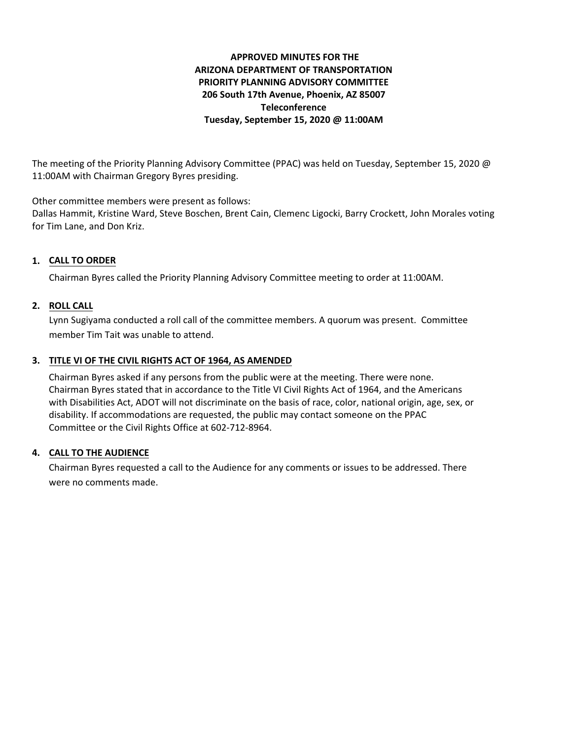# **APPROVED MINUTES FOR THE ARIZONA DEPARTMENT OF TRANSPORTATION PRIORITY PLANNING ADVISORY COMMITTEE 206 South 17th Avenue, Phoenix, AZ 85007 Teleconference Tuesday, September 15, 2020 @ 11:00AM**

The meeting of the Priority Planning Advisory Committee (PPAC) was held on Tuesday, September 15, 2020 @ 11:00AM with Chairman Gregory Byres presiding.

Other committee members were present as follows:

Dallas Hammit, Kristine Ward, Steve Boschen, Brent Cain, Clemenc Ligocki, Barry Crockett, John Morales voting for Tim Lane, and Don Kriz.

## **CALL TO ORDER 1.**

Chairman Byres called the Priority Planning Advisory Committee meeting to order at 11:00AM.

### **ROLL CALL 2.**

Lynn Sugiyama conducted a roll call of the committee members. A quorum was present. Committee member Tim Tait was unable to attend.

## **TITLE VI OF THE CIVIL RIGHTS ACT OF 1964, AS AMENDED 3.**

Chairman Byres asked if any persons from the public were at the meeting. There were none. Chairman Byres stated that in accordance to the Title VI Civil Rights Act of 1964, and the Americans with Disabilities Act, ADOT will not discriminate on the basis of race, color, national origin, age, sex, or disability. If accommodations are requested, the public may contact someone on the PPAC Committee or the Civil Rights Office at 602-712-8964.

#### **CALL TO THE AUDIENCE 4.**

Chairman Byres requested a call to the Audience for any comments or issues to be addressed. There were no comments made.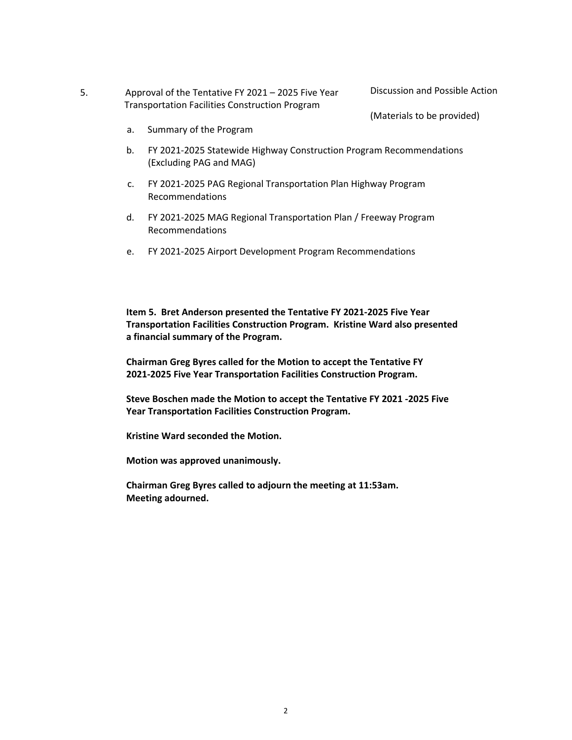- 5. Approval of the Tentative FY 2021 2025 Five Year Transportation Facilities Construction Program
- Discussion and Possible Action

(Materials to be provided)

- a. Summary of the Program
- b. FY 2021-2025 Statewide Highway Construction Program Recommendations (Excluding PAG and MAG)
- c. FY 2021-2025 PAG Regional Transportation Plan Highway Program Recommendations
- d. FY 2021-2025 MAG Regional Transportation Plan / Freeway Program Recommendations
- e. FY 2021-2025 Airport Development Program Recommendations

**Item 5. Bret Anderson presented the Tentative FY 2021-2025 Five Year Transportation Facilities Construction Program. Kristine Ward also presented a financial summary of the Program.** 

**Chairman Greg Byres called for the Motion to accept the Tentative FY 2021-2025 Five Year Transportation Facilities Construction Program.** 

**Steve Boschen made the Motion to accept the Tentative FY 2021 -2025 Five Year Transportation Facilities Construction Program.** 

**Kristine Ward seconded the Motion.** 

**Motion was approved unanimously.** 

**Chairman Greg Byres called to adjourn the meeting at 11:53am. Meeting adourned.**